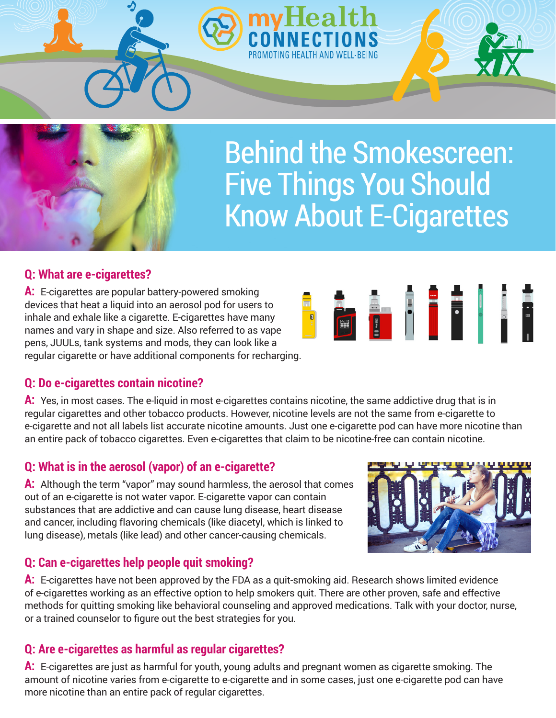Behind the Smokescreen: Five Things You Should Know About E-Cigarettes

# **Q: What are e-cigarettes?**

**A:** E-cigarettes are popular battery-powered smoking devices that heat a liquid into an aerosol pod for users to inhale and exhale like a cigarette. E-cigarettes have many names and vary in shape and size. Also referred to as vape pens, JUULs, tank systems and mods, they can look like a regular cigarette or have additional components for recharging.

# **Q: Do e-cigarettes contain nicotine?**

**A:** Yes, in most cases. The e-liquid in most e-cigarettes contains nicotine, the same addictive drug that is in regular cigarettes and other tobacco products. However, nicotine levels are not the same from e-cigarette to e-cigarette and not all labels list accurate nicotine amounts. Just one e-cigarette pod can have more nicotine than an entire pack of tobacco cigarettes. Even e-cigarettes that claim to be nicotine-free can contain nicotine.

# **Q: What is in the aerosol (vapor) of an e-cigarette?**

**A:** Although the term "vapor" may sound harmless, the aerosol that comes out of an e-cigarette is not water vapor. E-cigarette vapor can contain substances that are addictive and can cause lung disease, heart disease and cancer, including flavoring chemicals (like diacetyl, which is linked to lung disease), metals (like lead) and other cancer-causing chemicals.

# **Q: Can e-cigarettes help people quit smoking?**

**A:** E-cigarettes have not been approved by the FDA as a quit-smoking aid. Research shows limited evidence of e-cigarettes working as an effective option to help smokers quit. There are other proven, safe and effective methods for quitting smoking like behavioral counseling and approved medications. Talk with your doctor, nurse, or a trained counselor to figure out the best strategies for you.

# **Q: Are e-cigarettes as harmful as regular cigarettes?**

**A:** E-cigarettes are just as harmful for youth, young adults and pregnant women as cigarette smoking. The amount of nicotine varies from e-cigarette to e-cigarette and in some cases, just one e-cigarette pod can have more nicotine than an entire pack of regular cigarettes.









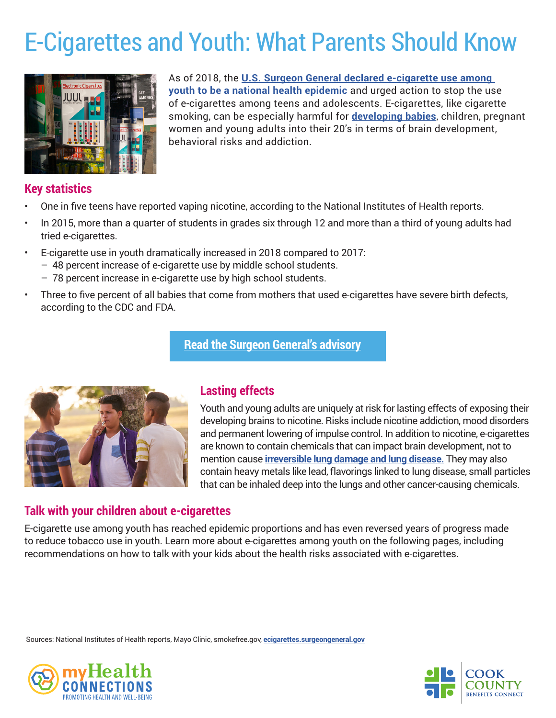# E-Cigarettes and Youth: What Parents Should Know



As of 2018, the **[U.S. Surgeon General declared e-cigarette use among](https://e-cigarettes.surgeongeneral.gov/resources.html)  [youth to be a national health epidemic](https://e-cigarettes.surgeongeneral.gov/resources.html)** and urged action to stop the use of e-cigarettes among teens and adolescents. E-cigarettes, like cigarette smoking, can be especially harmful for **[developing babies](https://mothertobaby.org/fact-sheets/e-cigarettes/pdf/)**, children, pregnant women and young adults into their 20's in terms of brain development, behavioral risks and addiction.

# **Key statistics**

- One in five teens have reported vaping nicotine, according to the National Institutes of Health reports.
- In 2015, more than a quarter of students in grades six through 12 and more than a third of young adults had tried e-cigarettes.
- E-cigarette use in youth dramatically increased in 2018 compared to 2017: – 48 percent increase of e-cigarette use by middle school students.
	- 78 percent increase in e-cigarette use by high school students.
- Three to five percent of all babies that come from mothers that used e-cigarettes have severe birth defects, according to the CDC and FDA.

## **[Read the Surgeon General's advisory](https://e-cigarettes.surgeongeneral.gov/resources.html)**



# **Lasting effects**

Youth and young adults are uniquely at risk for lasting effects of exposing their developing brains to nicotine. Risks include nicotine addiction, mood disorders and permanent lowering of impulse control. In addition to nicotine, e-cigarettes are known to contain chemicals that can impact brain development, not to mention cause **[irreversible lung damage and lung disease.](https://www.lung.org/stop-smoking/smoking-facts/impact-of-e-cigarettes-on-lung.html)** They may also contain heavy metals like lead, flavorings linked to lung disease, small particles that can be inhaled deep into the lungs and other cancer-causing chemicals.

#### **Talk with your children about e-cigarettes**

E-cigarette use among youth has reached epidemic proportions and has even reversed years of progress made to reduce tobacco use in youth. Learn more about e-cigarettes among youth on the following pages, including recommendations on how to talk with your kids about the health risks associated with e-cigarettes.

Sources: National Institutes of Health reports, Mayo Clinic, smokefree.gov, **[ecigarettes.surgeongeneral.gov](https://e-cigarettes.surgeongeneral.gov/knowtherisks.html)**



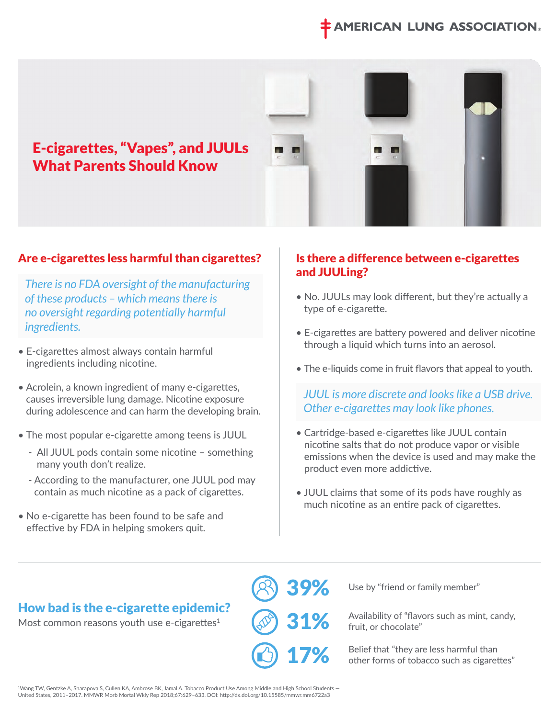# **MERICAN LUNG ASSOCIATION®**



## Are e-cigarettes less harmful than cigarettes?

 *There is no FDA oversight of the manufacturing of these products – which means there is no oversight regarding potentially harmful ingredients.* 

- E-cigarettes almost always contain harmful ingredients including nicotine.
- Acrolein, a known ingredient of many e-cigarettes, causes irreversible lung damage. Nicotine exposure during adolescence and can harm the developing brain.
- The most popular e-cigarette among teens is JUUL
	- All JUUL pods contain some nicotine something many youth don't realize.
	- According to the manufacturer, one JUUL pod may contain as much nicotine as a pack of cigarettes.
- No e-cigarette has been found to be safe and effective by FDA in helping smokers quit.

#### Is there a difference between e-cigarettes and JUULing?

- No. JUULs may look different, but they're actually a type of e-cigarette.
- E-cigarettes are battery powered and deliver nicotine through a liquid which turns into an aerosol.
- The e-liquids come in fruit flavors that appeal to youth.

 *JUUL is more discrete and looks like a USB drive. Other e-cigarettes may look like phones.* 

- Cartridge-based e-cigarettes like JUUL contain nicotine salts that do not produce vapor or visible emissions when the device is used and may make the product even more addictive.
- JUUL claims that some of its pods have roughly as much nicotine as an entire pack of cigarettes.

# How bad is the e-cigarette epidemic?

Most common reasons youth use e-cigarettes $1$ 

39% 31% 17%

Use by "friend or family member"

Availability of "flavors such as mint, candy, fruit, or chocolate"

Belief that "they are less harmful than other forms of tobacco such as cigarettes"

'Wang TW, Gentzke A, Sharapova S, Cullen KA, Ambrose BK, Jamal A. Tobacco Product Use Among Middle and High School Students —<br>United States, 2011–2017. MMWR Morb Mortal Wkly Rep 2018;67:629–633. DOI: http://dx.doi.org/10.